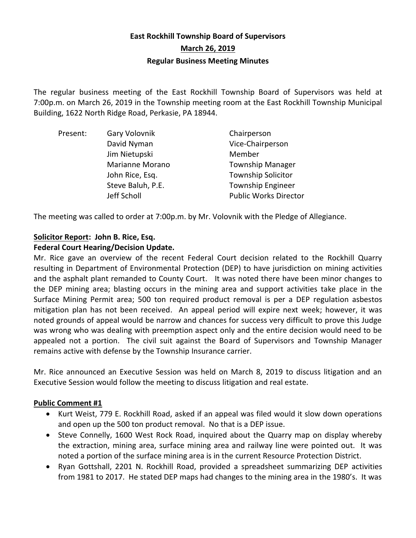# **East Rockhill Township Board of Supervisors March 26, 2019 Regular Business Meeting Minutes**

The regular business meeting of the East Rockhill Township Board of Supervisors was held at 7:00p.m. on March 26, 2019 in the Township meeting room at the East Rockhill Township Municipal Building, 1622 North Ridge Road, Perkasie, PA 18944.

| Present: | Gary Volovnik     | Chairperson                  |
|----------|-------------------|------------------------------|
|          | David Nyman       | Vice-Chairperson             |
|          | Jim Nietupski     | Member                       |
|          | Marianne Morano   | <b>Township Manager</b>      |
|          | John Rice, Esq.   | <b>Township Solicitor</b>    |
|          | Steve Baluh, P.E. | <b>Township Engineer</b>     |
|          | Jeff Scholl       | <b>Public Works Director</b> |

The meeting was called to order at 7:00p.m. by Mr. Volovnik with the Pledge of Allegiance.

#### **Solicitor Report: John B. Rice, Esq. Federal Court Hearing/Decision Update.**

Mr. Rice gave an overview of the recent Federal Court decision related to the Rockhill Quarry resulting in Department of Environmental Protection (DEP) to have jurisdiction on mining activities and the asphalt plant remanded to County Court. It was noted there have been minor changes to the DEP mining area; blasting occurs in the mining area and support activities take place in the Surface Mining Permit area; 500 ton required product removal is per a DEP regulation asbestos mitigation plan has not been received. An appeal period will expire next week; however, it was noted grounds of appeal would be narrow and chances for success very difficult to prove this Judge was wrong who was dealing with preemption aspect only and the entire decision would need to be appealed not a portion. The civil suit against the Board of Supervisors and Township Manager remains active with defense by the Township Insurance carrier.

Mr. Rice announced an Executive Session was held on March 8, 2019 to discuss litigation and an Executive Session would follow the meeting to discuss litigation and real estate.

# **Public Comment #1**

- Kurt Weist, 779 E. Rockhill Road, asked if an appeal was filed would it slow down operations and open up the 500 ton product removal. No that is a DEP issue.
- Steve Connelly, 1600 West Rock Road, inquired about the Quarry map on display whereby the extraction, mining area, surface mining area and railway line were pointed out. It was noted a portion of the surface mining area is in the current Resource Protection District.
- Ryan Gottshall, 2201 N. Rockhill Road, provided a spreadsheet summarizing DEP activities from 1981 to 2017. He stated DEP maps had changes to the mining area in the 1980's. It was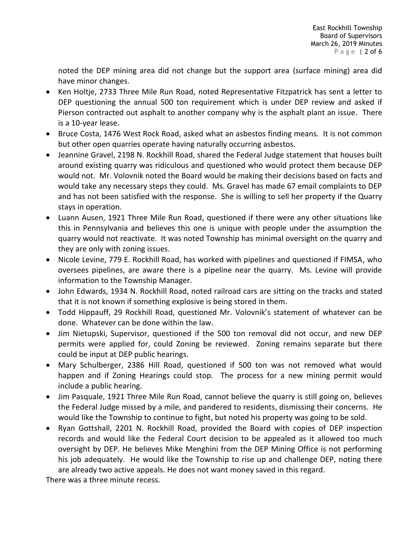noted the DEP mining area did not change but the support area (surface mining) area did have minor changes.

- Ken Holtje, 2733 Three Mile Run Road, noted Representative Fitzpatrick has sent a letter to DEP questioning the annual 500 ton requirement which is under DEP review and asked if Pierson contracted out asphalt to another company why is the asphalt plant an issue. There is a 10-year lease.
- Bruce Costa, 1476 West Rock Road, asked what an asbestos finding means. It is not common but other open quarries operate having naturally occurring asbestos.
- Jeannine Gravel, 2198 N. Rockhill Road, shared the Federal Judge statement that houses built around existing quarry was ridiculous and questioned who would protect them because DEP would not. Mr. Volovnik noted the Board would be making their decisions based on facts and would take any necessary steps they could. Ms. Gravel has made 67 email complaints to DEP and has not been satisfied with the response. She is willing to sell her property if the Quarry stays in operation.
- Luann Ausen, 1921 Three Mile Run Road, questioned if there were any other situations like this in Pennsylvania and believes this one is unique with people under the assumption the quarry would not reactivate. It was noted Township has minimal oversight on the quarry and they are only with zoning issues.
- Nicole Levine, 779 E. Rockhill Road, has worked with pipelines and questioned if FIMSA, who oversees pipelines, are aware there is a pipeline near the quarry. Ms. Levine will provide information to the Township Manager.
- John Edwards, 1934 N. Rockhill Road, noted railroad cars are sitting on the tracks and stated that it is not known if something explosive is being stored in them.
- Todd Hippauff, 29 Rockhill Road, questioned Mr. Volovnik's statement of whatever can be done. Whatever can be done within the law.
- Jim Nietupski, Supervisor, questioned if the 500 ton removal did not occur, and new DEP permits were applied for, could Zoning be reviewed. Zoning remains separate but there could be input at DEP public hearings.
- Mary Schulberger, 2386 Hill Road, questioned if 500 ton was not removed what would happen and if Zoning Hearings could stop. The process for a new mining permit would include a public hearing.
- Jim Pasquale, 1921 Three Mile Run Road, cannot believe the quarry is still going on, believes the Federal Judge missed by a mile, and pandered to residents, dismissing their concerns. He would like the Township to continue to fight, but noted his property was going to be sold.
- Ryan Gottshall, 2201 N. Rockhill Road, provided the Board with copies of DEP inspection records and would like the Federal Court decision to be appealed as it allowed too much oversight by DEP. He believes Mike Menghini from the DEP Mining Office is not performing his job adequately. He would like the Township to rise up and challenge DEP, noting there are already two active appeals. He does not want money saved in this regard.

There was a three minute recess.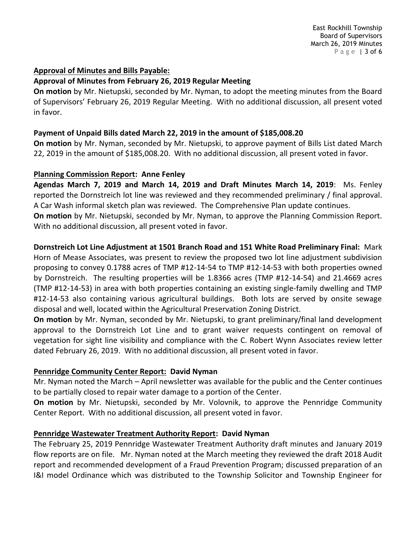## **Approval of Minutes and Bills Payable:**

## **Approval of Minutes from February 26, 2019 Regular Meeting**

**On motion** by Mr. Nietupski, seconded by Mr. Nyman, to adopt the meeting minutes from the Board of Supervisors' February 26, 2019 Regular Meeting. With no additional discussion, all present voted in favor.

## **Payment of Unpaid Bills dated March 22, 2019 in the amount of \$185,008.20**

**On motion** by Mr. Nyman, seconded by Mr. Nietupski, to approve payment of Bills List dated March 22, 2019 in the amount of \$185,008.20. With no additional discussion, all present voted in favor.

## **Planning Commission Report: Anne Fenley**

**Agendas March 7, 2019 and March 14, 2019 and Draft Minutes March 14, 2019**: Ms. Fenley reported the Dornstreich lot line was reviewed and they recommended preliminary / final approval. A Car Wash informal sketch plan was reviewed. The Comprehensive Plan update continues. **On motion** by Mr. Nietupski, seconded by Mr. Nyman, to approve the Planning Commission Report. With no additional discussion, all present voted in favor.

**Dornstreich Lot Line Adjustment at 1501 Branch Road and 151 White Road Preliminary Final:** Mark Horn of Mease Associates, was present to review the proposed two lot line adjustment subdivision proposing to convey 0.1788 acres of TMP #12-14-54 to TMP #12-14-53 with both properties owned by Dornstreich. The resulting properties will be 1.8366 acres (TMP #12-14-54) and 21.4669 acres (TMP #12-14-53) in area with both properties containing an existing single-family dwelling and TMP #12-14-53 also containing various agricultural buildings. Both lots are served by onsite sewage disposal and well, located within the Agricultural Preservation Zoning District.

**On motion** by Mr. Nyman, seconded by Mr. Nietupski, to grant preliminary/final land development approval to the Dornstreich Lot Line and to grant waiver requests contingent on removal of vegetation for sight line visibility and compliance with the C. Robert Wynn Associates review letter dated February 26, 2019. With no additional discussion, all present voted in favor.

# **Pennridge Community Center Report: David Nyman**

Mr. Nyman noted the March – April newsletter was available for the public and the Center continues to be partially closed to repair water damage to a portion of the Center.

**On motion** by Mr. Nietupski, seconded by Mr. Volovnik, to approve the Pennridge Community Center Report. With no additional discussion, all present voted in favor.

# **Pennridge Wastewater Treatment Authority Report: David Nyman**

The February 25, 2019 Pennridge Wastewater Treatment Authority draft minutes and January 2019 flow reports are on file. Mr. Nyman noted at the March meeting they reviewed the draft 2018 Audit report and recommended development of a Fraud Prevention Program; discussed preparation of an I&I model Ordinance which was distributed to the Township Solicitor and Township Engineer for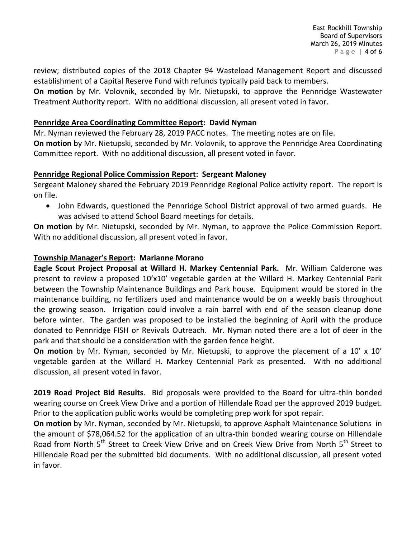review; distributed copies of the 2018 Chapter 94 Wasteload Management Report and discussed establishment of a Capital Reserve Fund with refunds typically paid back to members.

**On motion** by Mr. Volovnik, seconded by Mr. Nietupski, to approve the Pennridge Wastewater Treatment Authority report. With no additional discussion, all present voted in favor.

## **Pennridge Area Coordinating Committee Report: David Nyman**

Mr. Nyman reviewed the February 28, 2019 PACC notes. The meeting notes are on file. **On motion** by Mr. Nietupski, seconded by Mr. Volovnik, to approve the Pennridge Area Coordinating Committee report. With no additional discussion, all present voted in favor.

## **Pennridge Regional Police Commission Report: Sergeant Maloney**

Sergeant Maloney shared the February 2019 Pennridge Regional Police activity report. The report is on file.

 John Edwards, questioned the Pennridge School District approval of two armed guards. He was advised to attend School Board meetings for details.

**On motion** by Mr. Nietupski, seconded by Mr. Nyman, to approve the Police Commission Report. With no additional discussion, all present voted in favor.

## **Township Manager's Report: Marianne Morano**

**Eagle Scout Project Proposal at Willard H. Markey Centennial Park.** Mr. William Calderone was present to review a proposed 10'x10' vegetable garden at the Willard H. Markey Centennial Park between the Township Maintenance Buildings and Park house. Equipment would be stored in the maintenance building, no fertilizers used and maintenance would be on a weekly basis throughout the growing season. Irrigation could involve a rain barrel with end of the season cleanup done before winter. The garden was proposed to be installed the beginning of April with the produce donated to Pennridge FISH or Revivals Outreach. Mr. Nyman noted there are a lot of deer in the park and that should be a consideration with the garden fence height.

**On motion** by Mr. Nyman, seconded by Mr. Nietupski, to approve the placement of a 10' x 10' vegetable garden at the Willard H. Markey Centennial Park as presented. With no additional discussion, all present voted in favor.

**2019 Road Project Bid Results**. Bid proposals were provided to the Board for ultra-thin bonded wearing course on Creek View Drive and a portion of Hillendale Road per the approved 2019 budget. Prior to the application public works would be completing prep work for spot repair.

**On motion** by Mr. Nyman, seconded by Mr. Nietupski, to approve Asphalt Maintenance Solutions in the amount of \$78,064.52 for the application of an ultra-thin bonded wearing course on Hillendale Road from North 5<sup>th</sup> Street to Creek View Drive and on Creek View Drive from North 5<sup>th</sup> Street to Hillendale Road per the submitted bid documents. With no additional discussion, all present voted in favor.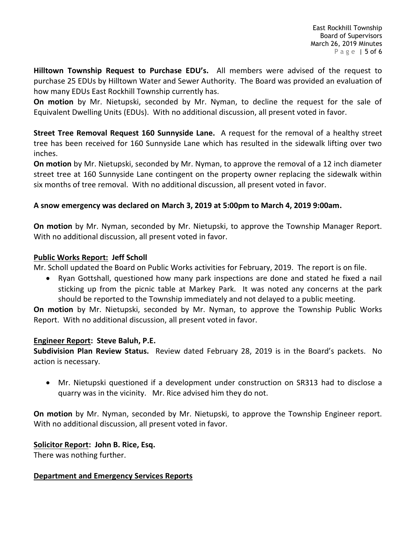**Hilltown Township Request to Purchase EDU's.** All members were advised of the request to purchase 25 EDUs by Hilltown Water and Sewer Authority. The Board was provided an evaluation of how many EDUs East Rockhill Township currently has.

**On motion** by Mr. Nietupski, seconded by Mr. Nyman, to decline the request for the sale of Equivalent Dwelling Units (EDUs). With no additional discussion, all present voted in favor.

**Street Tree Removal Request 160 Sunnyside Lane.** A request for the removal of a healthy street tree has been received for 160 Sunnyside Lane which has resulted in the sidewalk lifting over two inches.

**On motion** by Mr. Nietupski, seconded by Mr. Nyman, to approve the removal of a 12 inch diameter street tree at 160 Sunnyside Lane contingent on the property owner replacing the sidewalk within six months of tree removal. With no additional discussion, all present voted in favor.

## **A snow emergency was declared on March 3, 2019 at 5:00pm to March 4, 2019 9:00am.**

**On motion** by Mr. Nyman, seconded by Mr. Nietupski, to approve the Township Manager Report. With no additional discussion, all present voted in favor.

## **Public Works Report: Jeff Scholl**

Mr. Scholl updated the Board on Public Works activities for February, 2019. The report is on file.

 Ryan Gottshall, questioned how many park inspections are done and stated he fixed a nail sticking up from the picnic table at Markey Park. It was noted any concerns at the park should be reported to the Township immediately and not delayed to a public meeting.

**On motion** by Mr. Nietupski, seconded by Mr. Nyman, to approve the Township Public Works Report. With no additional discussion, all present voted in favor.

## **Engineer Report: Steve Baluh, P.E.**

**Subdivision Plan Review Status.** Review dated February 28, 2019 is in the Board's packets. No action is necessary.

 Mr. Nietupski questioned if a development under construction on SR313 had to disclose a quarry was in the vicinity. Mr. Rice advised him they do not.

**On motion** by Mr. Nyman, seconded by Mr. Nietupski, to approve the Township Engineer report. With no additional discussion, all present voted in favor.

## **Solicitor Report: John B. Rice, Esq.**

There was nothing further.

# **Department and Emergency Services Reports**